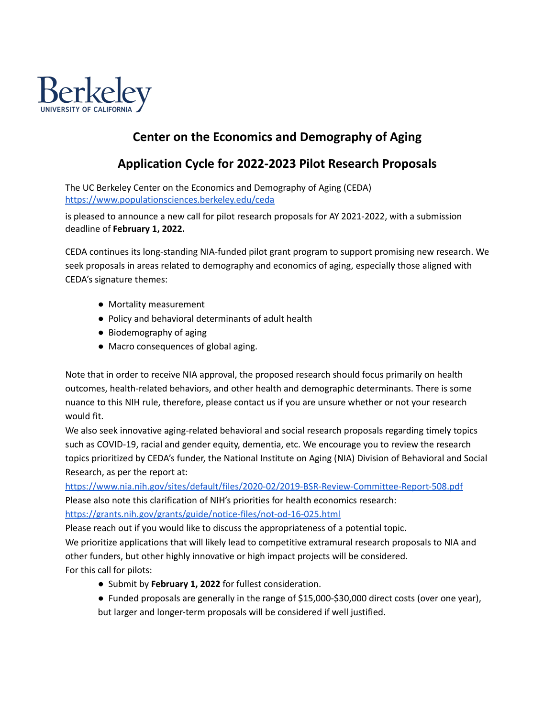

# **Center on the Economics and Demography of Aging**

# **Application Cycle for 2022-2023 Pilot Research Proposals**

The UC Berkeley Center on the Economics and Demography of Aging (CEDA) <https://www.populationsciences.berkeley.edu/ceda>

is pleased to announce a new call for pilot research proposals for AY 2021-2022, with a submission deadline of **February 1, 2022.**

CEDA continues its long‐standing NIA‐funded pilot grant program to support promising new research. We seek proposals in areas related to demography and economics of aging, especially those aligned with CEDA's signature themes:

- Mortality measurement
- Policy and behavioral determinants of adult health
- Biodemography of aging
- Macro consequences of global aging.

Note that in order to receive NIA approval, the proposed research should focus primarily on health outcomes, health‐related behaviors, and other health and demographic determinants. There is some nuance to this NIH rule, therefore, please contact us if you are unsure whether or not your research would fit.

We also seek innovative aging-related behavioral and social research proposals regarding timely topics such as COVID‐19, racial and gender equity, dementia, etc. We encourage you to review the research topics prioritized by CEDA's funder, the National Institute on Aging (NIA) Division of Behavioral and Social Research, as per the report at:

<https://www.nia.nih.gov/sites/default/files/2020-02/2019-BSR-Review-Committee-Report-508.pdf> Please also note this clarification of NIH's priorities for health economics research: <https://grants.nih.gov/grants/guide/notice-files/not-od-16-025.html>

Please reach out if you would like to discuss the appropriateness of a potential topic.

We prioritize applications that will likely lead to competitive extramural research proposals to NIA and other funders, but other highly innovative or high impact projects will be considered. For this call for pilots:

- Submit by **February 1, 2022** for fullest consideration.
- Funded proposals are generally in the range of \$15,000-\$30,000 direct costs (over one year), but larger and longer‐term proposals will be considered if well justified.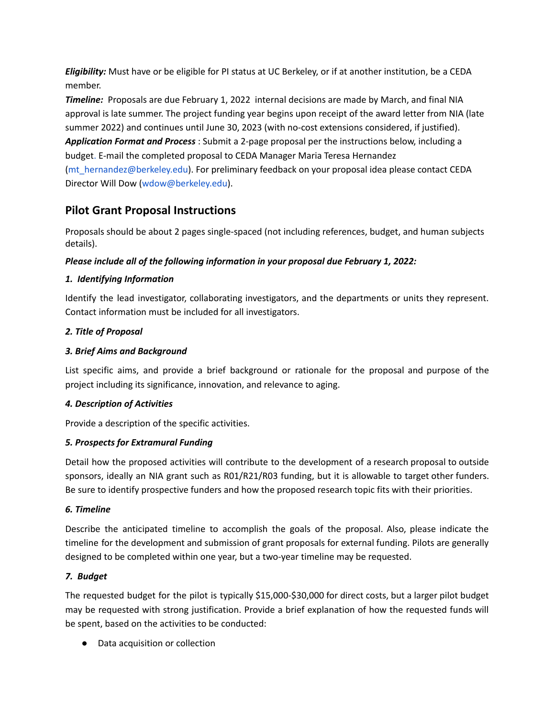*Eligibility:* Must have or be eligible for PI status at UC Berkeley, or if at another institution, be a CEDA member.

*Timeline:* Proposals are due February 1, 2022 internal decisions are made by March, and final NIA approval is late summer. The project funding year begins upon receipt of the award letter from NIA (late summer 2022) and continues until June 30, 2023 (with no-cost extensions considered, if justified). *Application Format and Process* : Submit a 2‐page proposal per the instructions below, including a budget. E-mail the completed proposal to CEDA Manager Maria Teresa Hernandez (mt hernandez@berkeley.edu). For preliminary feedback on your proposal idea please contact CEDA Director Will Dow (wdow@berkeley.edu).

# **Pilot Grant Proposal Instructions**

Proposals should be about 2 pages single-spaced (not including references, budget, and human subjects details).

# *Please include all of the following information in your proposal due February 1, 2022:*

# *1. Identifying Information*

Identify the lead investigator, collaborating investigators, and the departments or units they represent. Contact information must be included for all investigators.

# *2. Title of Proposal*

# *3. Brief Aims and Background*

List specific aims, and provide a brief background or rationale for the proposal and purpose of the project including its significance, innovation, and relevance to aging.

# *4. Description of Activities*

Provide a description of the specific activities.

# *5. Prospects for Extramural Funding*

Detail how the proposed activities will contribute to the development of a research proposal to outside sponsors, ideally an NIA grant such as R01/R21/R03 funding, but it is allowable to target other funders. Be sure to identify prospective funders and how the proposed research topic fits with their priorities.

# *6. Timeline*

Describe the anticipated timeline to accomplish the goals of the proposal. Also, please indicate the timeline for the development and submission of grant proposals for external funding. Pilots are generally designed to be completed within one year, but a two-year timeline may be requested.

# *7. Budget*

The requested budget for the pilot is typically \$15,000-\$30,000 for direct costs, but a larger pilot budget may be requested with strong justification. Provide a brief explanation of how the requested funds will be spent, based on the activities to be conducted:

● Data acquisition or collection